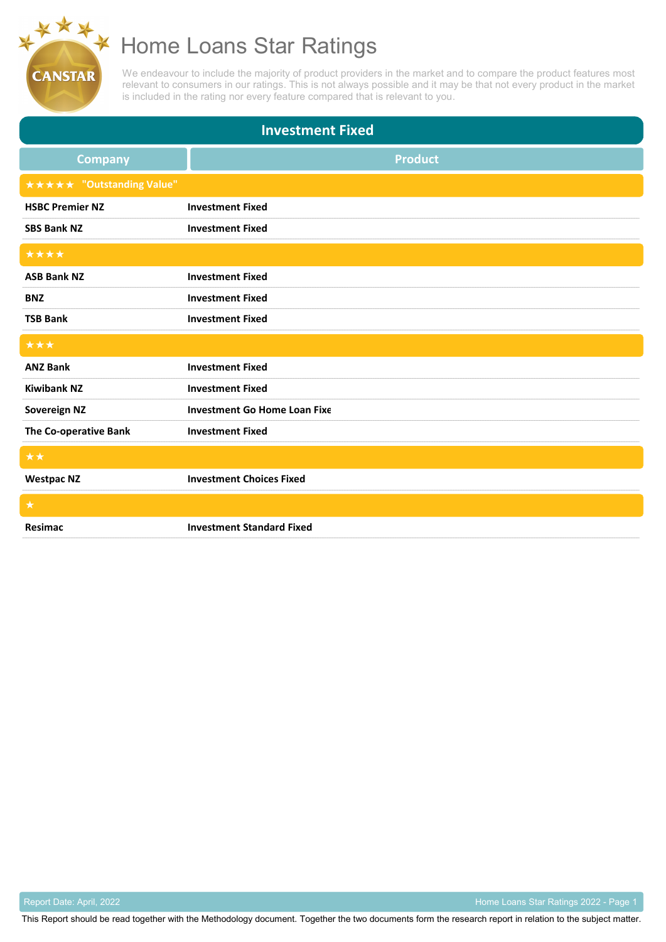We endeavour to include the majority of product providers in the market and to compare the product features most relevant to consumers in our ratings. This is not always possible and it may be that not every product in the market is included in the rating nor every feature compared that is relevant to you.

| <b>Investment Fixed</b>          |                                     |  |
|----------------------------------|-------------------------------------|--|
| <b>Company</b>                   | <b>Product</b>                      |  |
| <b>★★★★★ "Outstanding Value"</b> |                                     |  |
| <b>HSBC Premier NZ</b>           | <b>Investment Fixed</b>             |  |
| <b>SBS Bank NZ</b>               | <b>Investment Fixed</b>             |  |
| ****                             |                                     |  |
| <b>ASB Bank NZ</b>               | <b>Investment Fixed</b>             |  |
| <b>BNZ</b>                       | <b>Investment Fixed</b>             |  |
| <b>TSB Bank</b>                  | <b>Investment Fixed</b>             |  |
|                                  |                                     |  |
| ***                              |                                     |  |
| <b>ANZ Bank</b>                  | <b>Investment Fixed</b>             |  |
| <b>Kiwibank NZ</b>               | <b>Investment Fixed</b>             |  |
| Sovereign NZ                     | <b>Investment Go Home Loan Fixe</b> |  |
| The Co-operative Bank            | <b>Investment Fixed</b>             |  |
| **                               |                                     |  |
| <b>Westpac NZ</b>                | <b>Investment Choices Fixed</b>     |  |
| $\star$                          |                                     |  |

**CANSTAR** 

Report Date: April, 2022 **Accord Page 1** No. 2002 - Page 1 No. 2008 1 No. 2009 1 No. 2009 1 Nome Loans Star Ratings 2022 - Page 1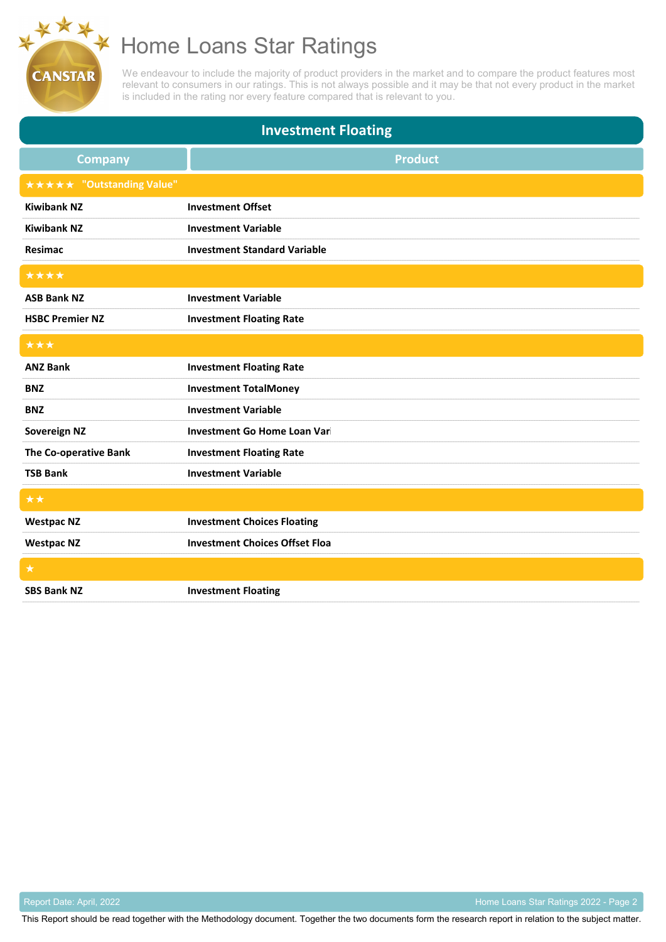We endeavour to include the majority of product providers in the market and to compare the product features most relevant to consumers in our ratings. This is not always possible and it may be that not every product in the market is included in the rating nor every feature compared that is relevant to you.

| <b>Investment Floating</b>       |                                       |  |
|----------------------------------|---------------------------------------|--|
| <b>Company</b>                   | <b>Product</b>                        |  |
| <b>★★★★★ "Outstanding Value"</b> |                                       |  |
| <b>Kiwibank NZ</b>               | <b>Investment Offset</b>              |  |
| <b>Kiwibank NZ</b>               | <b>Investment Variable</b>            |  |
| Resimac                          | <b>Investment Standard Variable</b>   |  |
| ****                             |                                       |  |
| <b>ASB Bank NZ</b>               | <b>Investment Variable</b>            |  |
| <b>HSBC Premier NZ</b>           | <b>Investment Floating Rate</b>       |  |
| ***                              |                                       |  |
| <b>ANZ Bank</b>                  | <b>Investment Floating Rate</b>       |  |
| <b>BNZ</b>                       | <b>Investment TotalMoney</b>          |  |
| <b>BNZ</b>                       | <b>Investment Variable</b>            |  |
| <b>Sovereign NZ</b>              | Investment Go Home Loan Vari          |  |
| The Co-operative Bank            | <b>Investment Floating Rate</b>       |  |
| <b>TSB Bank</b>                  | <b>Investment Variable</b>            |  |
| $\star\star$                     |                                       |  |
| <b>Westpac NZ</b>                | <b>Investment Choices Floating</b>    |  |
| <b>Westpac NZ</b>                | <b>Investment Choices Offset Floa</b> |  |
| $\star$                          |                                       |  |
| <b>SBS Bank NZ</b>               | <b>Investment Floating</b>            |  |

**CANSTAR** 

Report Date: April, 2022 **Access 2008** Home Loans Star Ratings 2022 - Page 2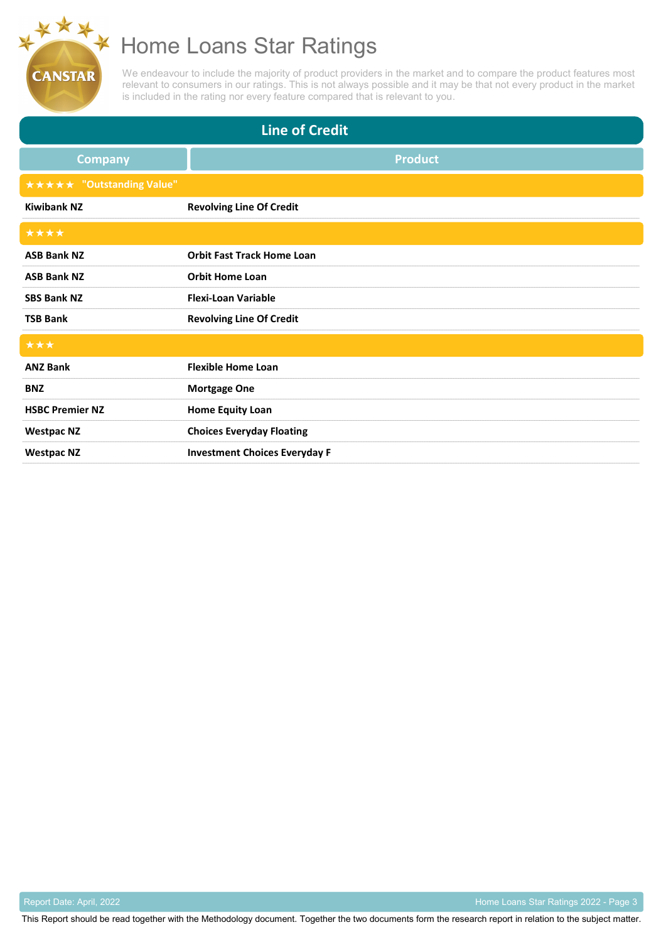We endeavour to include the majority of product providers in the market and to compare the product features most relevant to consumers in our ratings. This is not always possible and it may be that not every product in the market is included in the rating nor every feature compared that is relevant to you.

| <b>Line of Credit</b>            |                                      |  |
|----------------------------------|--------------------------------------|--|
| <b>Company</b>                   | <b>Product</b>                       |  |
| <b>★★★★★ "Outstanding Value"</b> |                                      |  |
| <b>Kiwibank NZ</b>               | <b>Revolving Line Of Credit</b>      |  |
| ****                             |                                      |  |
| <b>ASB Bank NZ</b>               | <b>Orbit Fast Track Home Loan</b>    |  |
| <b>ASB Bank NZ</b>               | <b>Orbit Home Loan</b>               |  |
| <b>SBS Bank NZ</b>               | <b>Flexi-Loan Variable</b>           |  |
| <b>TSB Bank</b>                  | <b>Revolving Line Of Credit</b>      |  |
| ***                              |                                      |  |
| <b>ANZ Bank</b>                  | <b>Flexible Home Loan</b>            |  |
| <b>BNZ</b>                       | <b>Mortgage One</b>                  |  |
| <b>HSBC Premier NZ</b>           | <b>Home Equity Loan</b>              |  |
| <b>Westpac NZ</b>                | <b>Choices Everyday Floating</b>     |  |
| <b>Westpac NZ</b>                | <b>Investment Choices Everyday F</b> |  |

**CANSTAR** 

Report Date: April, 2022 **Access 2022 - Page 3** Network Contract Contract Contract Contract Contract Contract Contract Contract Contract Contract Contract Contract Contract Contract Contract Contract Contract Contract Cont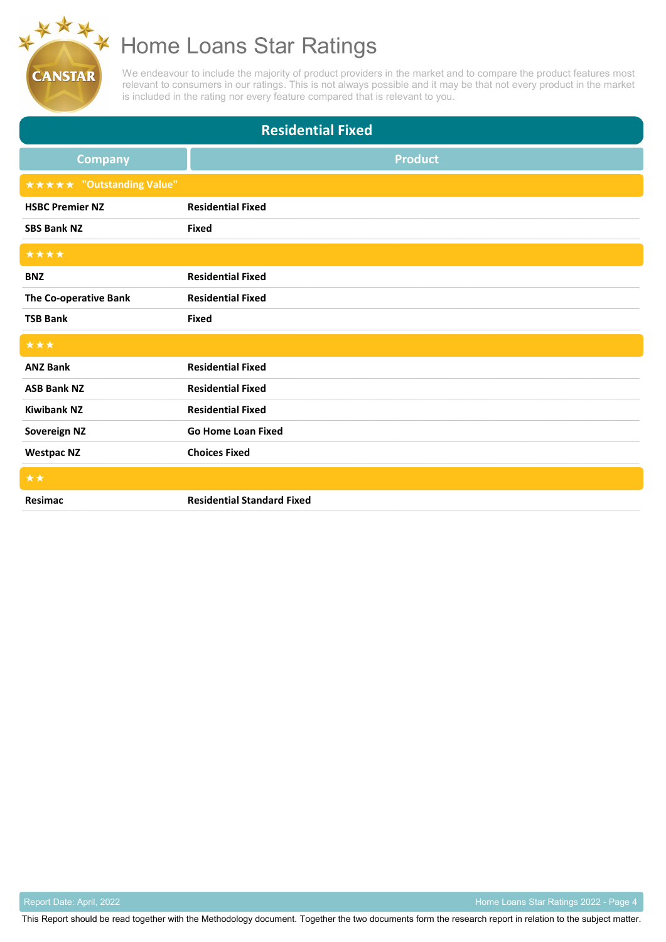We endeavour to include the majority of product providers in the market and to compare the product features most relevant to consumers in our ratings. This is not always possible and it may be that not every product in the market is included in the rating nor every feature compared that is relevant to you.

| <b>Residential Fixed</b>         |                                   |  |
|----------------------------------|-----------------------------------|--|
| <b>Company</b>                   | <b>Product</b>                    |  |
| <b>★★★★★ "Outstanding Value"</b> |                                   |  |
| <b>HSBC Premier NZ</b>           | <b>Residential Fixed</b>          |  |
| <b>SBS Bank NZ</b>               | <b>Fixed</b>                      |  |
| ****                             |                                   |  |
| <b>BNZ</b>                       | <b>Residential Fixed</b>          |  |
| The Co-operative Bank            | <b>Residential Fixed</b>          |  |
| <b>TSB Bank</b>                  | <b>Fixed</b>                      |  |
| ***                              |                                   |  |
| <b>ANZ Bank</b>                  | <b>Residential Fixed</b>          |  |
| <b>ASB Bank NZ</b>               | <b>Residential Fixed</b>          |  |
| <b>Kiwibank NZ</b>               | <b>Residential Fixed</b>          |  |
| <b>Sovereign NZ</b>              | <b>Go Home Loan Fixed</b>         |  |
| <b>Westpac NZ</b>                | <b>Choices Fixed</b>              |  |
| **                               |                                   |  |
| Resimac                          | <b>Residential Standard Fixed</b> |  |

**CANSTAR** 

Report Date: April, 2022 **Accord Page 4** Report Date: April, 2022 - Page 4